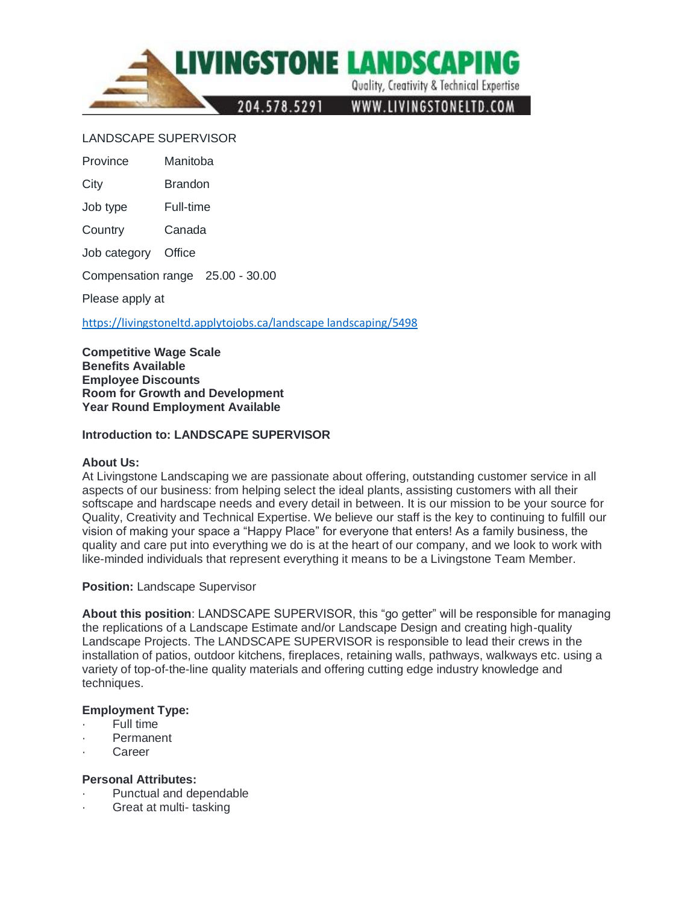

### LANDSCAPE SUPERVISOR

Province Manitoba

City Brandon

Job type Full-time

Country Canada

Job category Office

Compensation range 25.00 - 30.00

Please apply at

[https://livingstoneltd.applytojobs.ca/landscape landscaping/5498](https://livingstoneltd.applytojobs.ca/landscape%20landscaping/5498)

**Competitive Wage Scale Benefits Available Employee Discounts Room for Growth and Development Year Round Employment Available**

#### **Introduction to: LANDSCAPE SUPERVISOR**

#### **About Us:**

At Livingstone Landscaping we are passionate about offering, outstanding customer service in all aspects of our business: from helping select the ideal plants, assisting customers with all their softscape and hardscape needs and every detail in between. It is our mission to be your source for Quality, Creativity and Technical Expertise. We believe our staff is the key to continuing to fulfill our vision of making your space a "Happy Place" for everyone that enters! As a family business, the quality and care put into everything we do is at the heart of our company, and we look to work with like-minded individuals that represent everything it means to be a Livingstone Team Member.

#### **Position:** Landscape Supervisor

**About this position**: LANDSCAPE SUPERVISOR, this "go getter" will be responsible for managing the replications of a Landscape Estimate and/or Landscape Design and creating high-quality Landscape Projects. The LANDSCAPE SUPERVISOR is responsible to lead their crews in the installation of patios, outdoor kitchens, fireplaces, retaining walls, pathways, walkways etc. using a variety of top-of-the-line quality materials and offering cutting edge industry knowledge and techniques.

#### **Employment Type:**

- Full time
- · Permanent
- · Career

#### **Personal Attributes:**

- Punctual and dependable
- Great at multi- tasking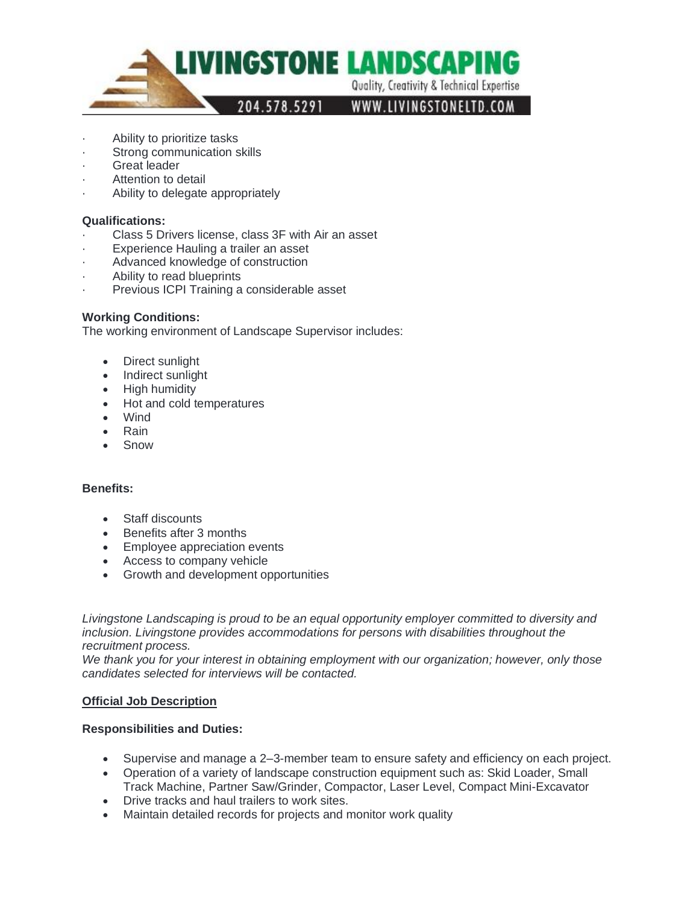

- Ability to prioritize tasks
- Strong communication skills
- Great leader
- Attention to detail
- Ability to delegate appropriately

#### **Qualifications:**

- Class 5 Drivers license, class 3F with Air an asset
- Experience Hauling a trailer an asset
- Advanced knowledge of construction
- Ability to read blueprints
- Previous ICPI Training a considerable asset

#### **Working Conditions:**

The working environment of Landscape Supervisor includes:

- Direct sunlight
- Indirect sunlight
- High humidity
- Hot and cold temperatures
- Wind
- Rain
- **Snow**

#### **Benefits:**

- Staff discounts
- Benefits after 3 months
- Employee appreciation events
- Access to company vehicle
- Growth and development opportunities

*Livingstone Landscaping is proud to be an equal opportunity employer committed to diversity and*  inclusion. Livingstone provides accommodations for persons with disabilities throughout the *recruitment process.*

*We thank you for your interest in obtaining employment with our organization; however, only those candidates selected for interviews will be contacted.*

#### **Official Job Description**

#### **Responsibilities and Duties:**

- Supervise and manage a 2–3-member team to ensure safety and efficiency on each project.
- Operation of a variety of landscape construction equipment such as: Skid Loader, Small Track Machine, Partner Saw/Grinder, Compactor, Laser Level, Compact Mini-Excavator
- Drive tracks and haul trailers to work sites.
- Maintain detailed records for projects and monitor work quality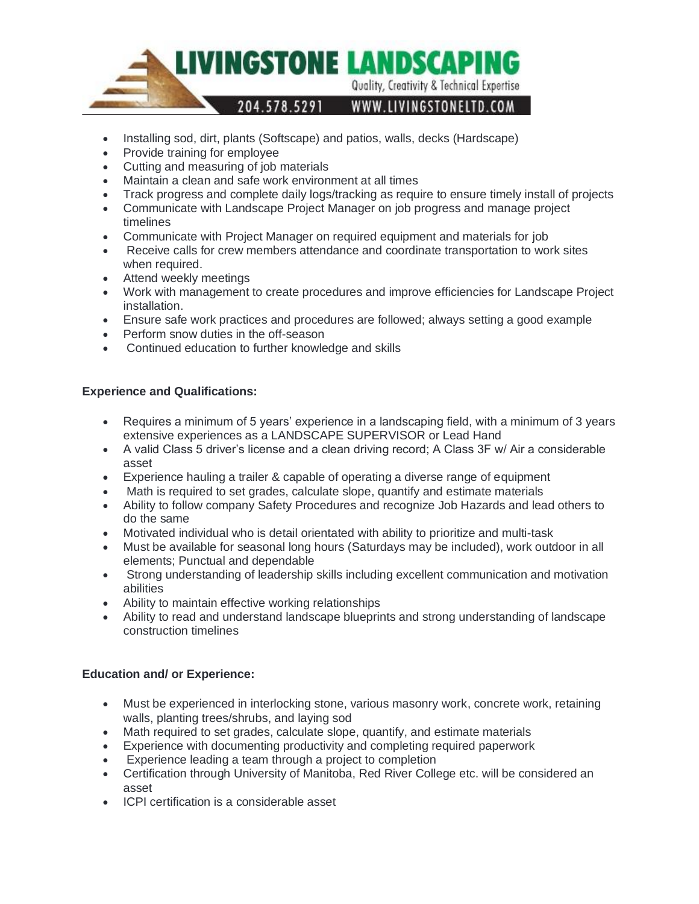

- Installing sod, dirt, plants (Softscape) and patios, walls, decks (Hardscape)
- Provide training for employee
- Cutting and measuring of job materials
- Maintain a clean and safe work environment at all times
- Track progress and complete daily logs/tracking as require to ensure timely install of projects
- Communicate with Landscape Project Manager on job progress and manage project timelines
- Communicate with Project Manager on required equipment and materials for job
- Receive calls for crew members attendance and coordinate transportation to work sites when required.
- Attend weekly meetings
- Work with management to create procedures and improve efficiencies for Landscape Project installation.
- Ensure safe work practices and procedures are followed; always setting a good example
- Perform snow duties in the off-season
- Continued education to further knowledge and skills

# **Experience and Qualifications:**

- Requires a minimum of 5 years' experience in a landscaping field, with a minimum of 3 years extensive experiences as a LANDSCAPE SUPERVISOR or Lead Hand
- A valid Class 5 driver's license and a clean driving record; A Class 3F w/ Air a considerable asset
- Experience hauling a trailer & capable of operating a diverse range of equipment
- Math is required to set grades, calculate slope, quantify and estimate materials
- Ability to follow company Safety Procedures and recognize Job Hazards and lead others to do the same
- Motivated individual who is detail orientated with ability to prioritize and multi-task
- Must be available for seasonal long hours (Saturdays may be included), work outdoor in all elements; Punctual and dependable
- Strong understanding of leadership skills including excellent communication and motivation abilities
- Ability to maintain effective working relationships
- Ability to read and understand landscape blueprints and strong understanding of landscape construction timelines

# **Education and/ or Experience:**

- Must be experienced in interlocking stone, various masonry work, concrete work, retaining walls, planting trees/shrubs, and laying sod
- Math required to set grades, calculate slope, quantify, and estimate materials
- Experience with documenting productivity and completing required paperwork
- Experience leading a team through a project to completion
- Certification through University of Manitoba, Red River College etc. will be considered an asset
- ICPI certification is a considerable asset